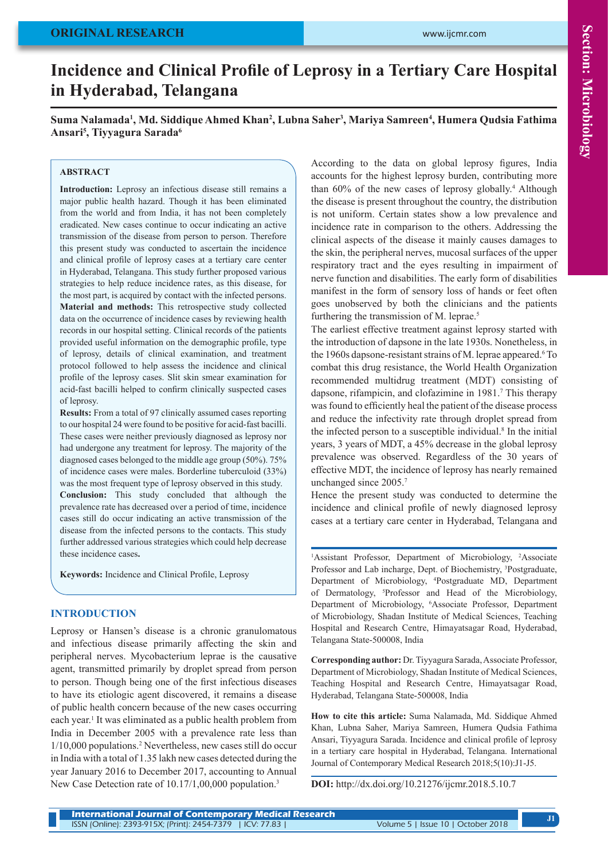# **ORIGINAL RESEARCH**

# **Incidence and Clinical Profile of Leprosy in a Tertiary Care Hospital in Hyderabad, Telangana**

**Suma Nalamada1 , Md. Siddique Ahmed Khan<sup>2</sup> , Lubna Saher<sup>3</sup> , Mariya Samreen<sup>4</sup> , Humera Qudsia Fathima Ansari<sup>5</sup> , Tiyyagura Sarada<sup>6</sup>**

# **ABSTRACT**

**Introduction:** Leprosy an infectious disease still remains a major public health hazard. Though it has been eliminated from the world and from India, it has not been completely eradicated. New cases continue to occur indicating an active transmission of the disease from person to person. Therefore this present study was conducted to ascertain the incidence and clinical profile of leprosy cases at a tertiary care center in Hyderabad, Telangana. This study further proposed various strategies to help reduce incidence rates, as this disease, for the most part, is acquired by contact with the infected persons. **Material and methods:** This retrospective study collected data on the occurrence of incidence cases by reviewing health records in our hospital setting. Clinical records of the patients provided useful information on the demographic profile, type of leprosy, details of clinical examination, and treatment protocol followed to help assess the incidence and clinical profile of the leprosy cases. Slit skin smear examination for acid-fast bacilli helped to confirm clinically suspected cases of leprosy.

**Results:** From a total of 97 clinically assumed cases reporting to our hospital 24 were found to be positive for acid-fast bacilli. These cases were neither previously diagnosed as leprosy nor had undergone any treatment for leprosy. The majority of the diagnosed cases belonged to the middle age group (50%). 75% of incidence cases were males. Borderline tuberculoid (33%) was the most frequent type of leprosy observed in this study. **Conclusion:** This study concluded that although the prevalence rate has decreased over a period of time, incidence cases still do occur indicating an active transmission of the disease from the infected persons to the contacts. This study further addressed various strategies which could help decrease these incidence cases**.**

**Keywords:** Incidence and Clinical Profile, Leprosy

## **INTRODUCTION**

Leprosy or Hansen's disease is a chronic granulomatous and infectious disease primarily affecting the skin and peripheral nerves. Mycobacterium leprae is the causative agent, transmitted primarily by droplet spread from person to person. Though being one of the first infectious diseases to have its etiologic agent discovered, it remains a disease of public health concern because of the new cases occurring each year.<sup>1</sup> It was eliminated as a public health problem from India in December 2005 with a prevalence rate less than 1/10,000 populations.2 Nevertheless, new cases still do occur in India with a total of 1.35 lakh new cases detected during the year January 2016 to December 2017, accounting to Annual New Case Detection rate of 10.17/1,00,000 population.<sup>3</sup>

According to the data on global leprosy figures, India accounts for the highest leprosy burden, contributing more than 60% of the new cases of leprosy globally.<sup>4</sup> Although the disease is present throughout the country, the distribution is not uniform. Certain states show a low prevalence and incidence rate in comparison to the others. Addressing the clinical aspects of the disease it mainly causes damages to the skin, the peripheral nerves, mucosal surfaces of the upper respiratory tract and the eyes resulting in impairment of nerve function and disabilities. The early form of disabilities manifest in the form of sensory loss of hands or feet often goes unobserved by both the clinicians and the patients furthering the transmission of M. leprae.<sup>5</sup>

The earliest effective treatment against leprosy started with the introduction of dapsone in the late 1930s. Nonetheless, in the 1960s dapsone-resistant strains of M. leprae appeared.<sup>6</sup> To combat this drug resistance, the World Health Organization recommended multidrug treatment (MDT) consisting of dapsone, rifampicin, and clofazimine in 1981.<sup>7</sup> This therapy was found to efficiently heal the patient of the disease process and reduce the infectivity rate through droplet spread from the infected person to a susceptible individual.<sup>8</sup> In the initial years, 3 years of MDT, a 45% decrease in the global leprosy prevalence was observed. Regardless of the 30 years of effective MDT, the incidence of leprosy has nearly remained unchanged since 2005.7

Hence the present study was conducted to determine the incidence and clinical profile of newly diagnosed leprosy cases at a tertiary care center in Hyderabad, Telangana and

<sup>1</sup>Assistant Professor, Department of Microbiology, <sup>2</sup>Associate Professor and Lab incharge, Dept. of Biochemistry, <sup>3</sup>Postgraduate, Department of Microbiology, 4 Postgraduate MD, Department of Dermatology, 5 Professor and Head of the Microbiology, Department of Microbiology, 6 Associate Professor, Department of Microbiology, Shadan Institute of Medical Sciences, Teaching Hospital and Research Centre, Himayatsagar Road, Hyderabad, Telangana State-500008, India

**Corresponding author:** Dr. Tiyyagura Sarada, Associate Professor, Department of Microbiology, Shadan Institute of Medical Sciences, Teaching Hospital and Research Centre, Himayatsagar Road, Hyderabad, Telangana State-500008, India

**How to cite this article:** Suma Nalamada, Md. Siddique Ahmed Khan, Lubna Saher, Mariya Samreen, Humera Qudsia Fathima Ansari, Tiyyagura Sarada. Incidence and clinical profile of leprosy in a tertiary care hospital in Hyderabad, Telangana. International Journal of Contemporary Medical Research 2018;5(10):J1-J5.

**DOI:** http://dx.doi.org/10.21276/ijcmr.2018.5.10.7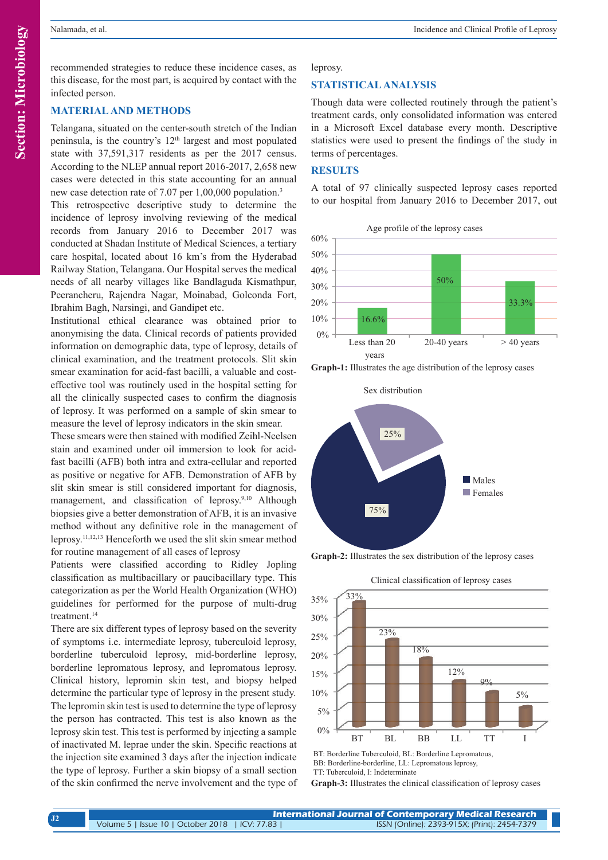recommended strategies to reduce these incidence cases, as this disease, for the most part, is acquired by contact with the infected person.

# **MATERIAL AND METHODS**

Telangana, situated on the center-south stretch of the Indian peninsula, is the country's  $12<sup>th</sup>$  largest and most populated state with 37,591,317 residents as per the 2017 census. According to the NLEP annual report 2016-2017, 2,658 new cases were detected in this state accounting for an annual new case detection rate of 7.07 per 1,00,000 population.<sup>3</sup>

This retrospective descriptive study to determine the incidence of leprosy involving reviewing of the medical records from January 2016 to December 2017 was conducted at Shadan Institute of Medical Sciences, a tertiary care hospital, located about 16 km's from the Hyderabad Railway Station, Telangana. Our Hospital serves the medical needs of all nearby villages like Bandlaguda Kismathpur, Peerancheru, Rajendra Nagar, Moinabad, Golconda Fort, Ibrahim Bagh, Narsingi, and Gandipet etc.

Institutional ethical clearance was obtained prior to anonymising the data. Clinical records of patients provided information on demographic data, type of leprosy, details of clinical examination, and the treatment protocols. Slit skin smear examination for acid-fast bacilli, a valuable and costeffective tool was routinely used in the hospital setting for all the clinically suspected cases to confirm the diagnosis of leprosy. It was performed on a sample of skin smear to measure the level of leprosy indicators in the skin smear.

These smears were then stained with modified Zeihl-Neelsen stain and examined under oil immersion to look for acidfast bacilli (AFB) both intra and extra-cellular and reported as positive or negative for AFB. Demonstration of AFB by slit skin smear is still considered important for diagnosis, management, and classification of leprosy.9,10 Although biopsies give a better demonstration of AFB, it is an invasive method without any definitive role in the management of leprosy.11,12,13 Henceforth we used the slit skin smear method for routine management of all cases of leprosy

Patients were classified according to Ridley Jopling classification as multibacillary or paucibacillary type. This categorization as per the World Health Organization (WHO) guidelines for performed for the purpose of multi-drug treatment.<sup>14</sup>

There are six different types of leprosy based on the severity of symptoms i.e. intermediate leprosy, tuberculoid leprosy, borderline tuberculoid leprosy, mid-borderline leprosy, borderline lepromatous leprosy, and lepromatous leprosy. Clinical history, lepromin skin test, and biopsy helped determine the particular type of leprosy in the present study. The lepromin skin test is used to determine the type of leprosy the person has contracted. This test is also known as the leprosy skin test. This test is performed by injecting a sample of inactivated M. leprae under the skin. Specific reactions at the injection site examined 3 days after the injection indicate the type of leprosy. Further a skin biopsy of a small section of the skin confirmed the nerve involvement and the type of leprosy.

# **STATISTICAL ANALYSIS**

Though data were collected routinely through the patient's treatment cards, only consolidated information was entered in a Microsoft Excel database every month. Descriptive statistics were used to present the findings of the study in terms of percentages.

# **RESULTS**

A total of 97 clinically suspected leprosy cases reported to our hospital from January 2016 to December 2017, out

Age profile of the leprosy cases



**Graph-1:** Illustrates the age distribution of the leprosy cases



**Graph-2:** Illustrates the sex distribution of the leprosy cases



BT: Borderline Tuberculoid, BL: Borderline Lepromatous, BB: Borderline-borderline, LL: Lepromatous leprosy, TT: Tuberculoid, I: Indeterminate

**Graph-3:** Illustrates the clinical classification of leprosy cases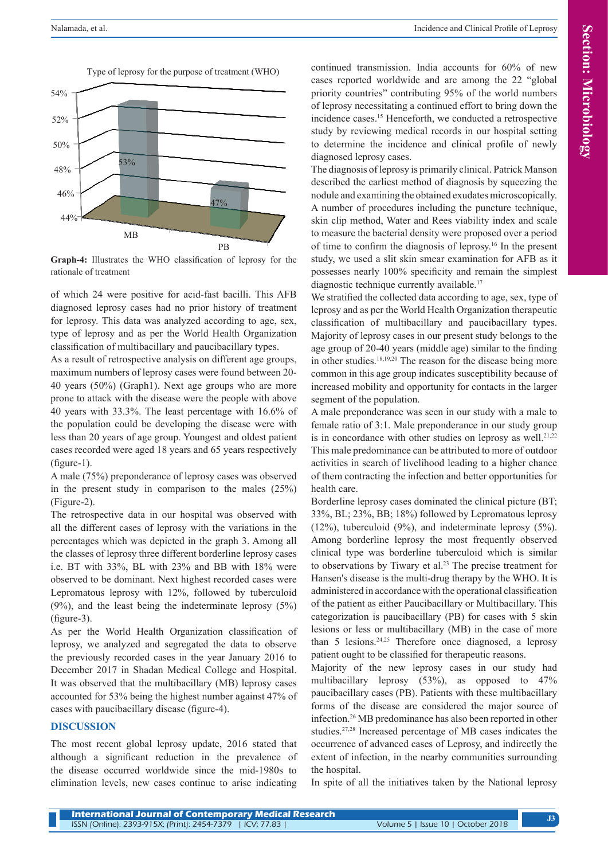Type of leprosy for the purpose of treatment (WHO)



**Graph-4:** Illustrates the WHO classification of leprosy for the rationale of treatment

of which 24 were positive for acid-fast bacilli. This AFB diagnosed leprosy cases had no prior history of treatment for leprosy. This data was analyzed according to age, sex, type of leprosy and as per the World Health Organization classification of multibacillary and paucibacillary types.

As a result of retrospective analysis on different age groups, maximum numbers of leprosy cases were found between 20- 40 years (50%) (Graph1). Next age groups who are more prone to attack with the disease were the people with above 40 years with 33.3%. The least percentage with 16.6% of the population could be developing the disease were with less than 20 years of age group. Youngest and oldest patient cases recorded were aged 18 years and 65 years respectively (figure-1).

A male (75%) preponderance of leprosy cases was observed in the present study in comparison to the males (25%) (Figure-2).

The retrospective data in our hospital was observed with all the different cases of leprosy with the variations in the percentages which was depicted in the graph 3. Among all the classes of leprosy three different borderline leprosy cases i.e. BT with 33%, BL with 23% and BB with 18% were observed to be dominant. Next highest recorded cases were Lepromatous leprosy with 12%, followed by tuberculoid (9%), and the least being the indeterminate leprosy (5%) (figure-3).

As per the World Health Organization classification of leprosy, we analyzed and segregated the data to observe the previously recorded cases in the year January 2016 to December 2017 in Shadan Medical College and Hospital. It was observed that the multibacillary (MB) leprosy cases accounted for 53% being the highest number against 47% of cases with paucibacillary disease (figure-4).

## **DISCUSSION**

The most recent global leprosy update, 2016 stated that although a significant reduction in the prevalence of the disease occurred worldwide since the mid-1980s to elimination levels, new cases continue to arise indicating continued transmission. India accounts for 60% of new cases reported worldwide and are among the 22 "global priority countries" contributing 95% of the world numbers of leprosy necessitating a continued effort to bring down the incidence cases.15 Henceforth, we conducted a retrospective study by reviewing medical records in our hospital setting to determine the incidence and clinical profile of newly diagnosed leprosy cases.

The diagnosis of leprosy is primarily clinical. Patrick Manson described the earliest method of diagnosis by squeezing the nodule and examining the obtained exudates microscopically. A number of procedures including the puncture technique, skin clip method, Water and Rees viability index and scale to measure the bacterial density were proposed over a period of time to confirm the diagnosis of leprosy.16 In the present study, we used a slit skin smear examination for AFB as it possesses nearly 100% specificity and remain the simplest diagnostic technique currently available.<sup>17</sup>

We stratified the collected data according to age, sex, type of leprosy and as per the World Health Organization therapeutic classification of multibacillary and paucibacillary types. Majority of leprosy cases in our present study belongs to the age group of 20-40 years (middle age) similar to the finding in other studies.18,19,20 The reason for the disease being more common in this age group indicates susceptibility because of increased mobility and opportunity for contacts in the larger segment of the population.

A male preponderance was seen in our study with a male to female ratio of 3:1. Male preponderance in our study group is in concordance with other studies on leprosy as well.<sup>21,22</sup> This male predominance can be attributed to more of outdoor activities in search of livelihood leading to a higher chance of them contracting the infection and better opportunities for health care.

Borderline leprosy cases dominated the clinical picture (BT; 33%, BL; 23%, BB; 18%) followed by Lepromatous leprosy (12%), tuberculoid (9%), and indeterminate leprosy (5%). Among borderline leprosy the most frequently observed clinical type was borderline tuberculoid which is similar to observations by Tiwary et al.23 The precise treatment for Hansen's disease is the multi-drug therapy by the WHO. It is administered in accordance with the operational classification of the patient as either Paucibacillary or Multibacillary. This categorization is paucibacillary (PB) for cases with 5 skin lesions or less or multibacillary (MB) in the case of more than 5 lesions.<sup>24,25</sup> Therefore once diagnosed, a leprosy patient ought to be classified for therapeutic reasons.

Majority of the new leprosy cases in our study had multibacillary leprosy (53%), as opposed to 47% paucibacillary cases (PB). Patients with these multibacillary forms of the disease are considered the major source of infection.26 MB predominance has also been reported in other studies.27,28 Increased percentage of MB cases indicates the occurrence of advanced cases of Leprosy, and indirectly the extent of infection, in the nearby communities surrounding the hospital.

In spite of all the initiatives taken by the National leprosy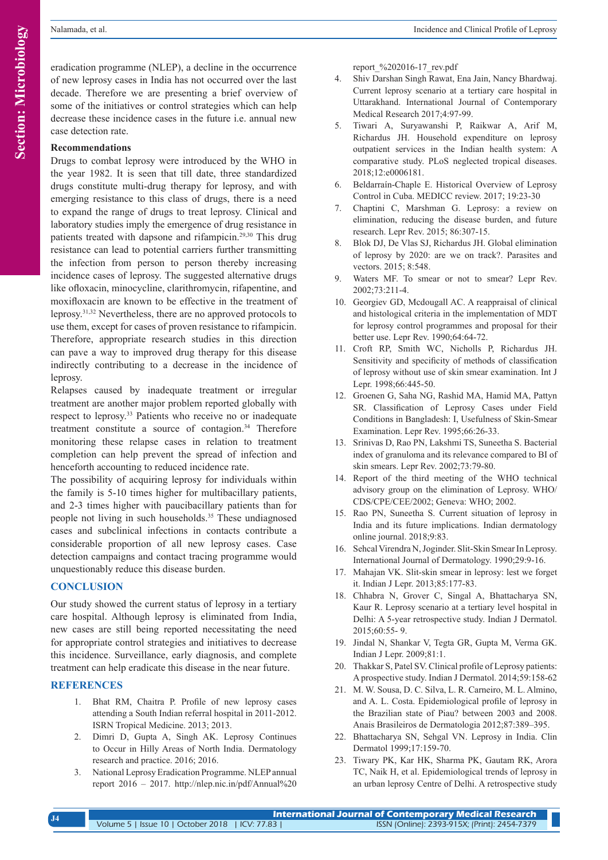**Section: Microbiology Section: Microbiology**

eradication programme (NLEP), a decline in the occurrence of new leprosy cases in India has not occurred over the last decade. Therefore we are presenting a brief overview of some of the initiatives or control strategies which can help decrease these incidence cases in the future i.e. annual new case detection rate.

#### **Recommendations**

Drugs to combat leprosy were introduced by the WHO in the year 1982. It is seen that till date, three standardized drugs constitute multi-drug therapy for leprosy, and with emerging resistance to this class of drugs, there is a need to expand the range of drugs to treat leprosy. Clinical and laboratory studies imply the emergence of drug resistance in patients treated with dapsone and rifampicin.29,30 This drug resistance can lead to potential carriers further transmitting the infection from person to person thereby increasing incidence cases of leprosy. The suggested alternative drugs like ofloxacin, minocycline, clarithromycin, rifapentine, and moxifloxacin are known to be effective in the treatment of leprosy.31,32 Nevertheless, there are no approved protocols to use them, except for cases of proven resistance to rifampicin. Therefore, appropriate research studies in this direction can pave a way to improved drug therapy for this disease indirectly contributing to a decrease in the incidence of leprosy.

Relapses caused by inadequate treatment or irregular treatment are another major problem reported globally with respect to leprosy.33 Patients who receive no or inadequate treatment constitute a source of contagion.34 Therefore monitoring these relapse cases in relation to treatment completion can help prevent the spread of infection and henceforth accounting to reduced incidence rate.

The possibility of acquiring leprosy for individuals within the family is 5-10 times higher for multibacillary patients, and 2-3 times higher with paucibacillary patients than for people not living in such households.<sup>35</sup> These undiagnosed cases and subclinical infections in contacts contribute a considerable proportion of all new leprosy cases. Case detection campaigns and contact tracing programme would unquestionably reduce this disease burden.

## **CONCLUSION**

Our study showed the current status of leprosy in a tertiary care hospital. Although leprosy is eliminated from India, new cases are still being reported necessitating the need for appropriate control strategies and initiatives to decrease this incidence. Surveillance, early diagnosis, and complete treatment can help eradicate this disease in the near future.

## **REFERENCES**

- 1. Bhat RM, Chaitra P. Profile of new leprosy cases attending a South Indian referral hospital in 2011-2012. ISRN Tropical Medicine. 2013; 2013.
- 2. Dimri D, Gupta A, Singh AK. Leprosy Continues to Occur in Hilly Areas of North India. Dermatology research and practice. 2016; 2016.
- 3. National Leprosy Eradication Programme. NLEP annual report 2016 – 2017. http://nlep.nic.in/pdf/Annual%20

report\_%202016-17\_rev.pdf

- 4. Shiv Darshan Singh Rawat, Ena Jain, Nancy Bhardwaj. Current leprosy scenario at a tertiary care hospital in Uttarakhand. International Journal of Contemporary Medical Research 2017;4:97-99.
- 5. Tiwari A, Suryawanshi P, Raikwar A, Arif M, Richardus JH. Household expenditure on leprosy outpatient services in the Indian health system: A comparative study. PLoS neglected tropical diseases. 2018;12:e0006181.
- 6. Beldarraín-Chaple E. Historical Overview of Leprosy Control in Cuba. MEDICC review. 2017; 19:23-30
- 7. Chaptini C, Marshman G. Leprosy: a review on elimination, reducing the disease burden, and future research. Lepr Rev. 2015; 86:307-15.
- 8. Blok DJ, De Vlas SJ, Richardus JH. Global elimination of leprosy by 2020: are we on track?. Parasites and vectors. 2015; 8:548.
- 9. Waters MF. To smear or not to smear? Lepr Rev. 2002;73:211-4.
- 10. Georgiev GD, Mcdougall AC. A reappraisal of clinical and histological criteria in the implementation of MDT for leprosy control programmes and proposal for their better use. Lepr Rev. 1990;64:64-72.
- 11. Croft RP, Smith WC, Nicholls P, Richardus JH. Sensitivity and specificity of methods of classification of leprosy without use of skin smear examination. Int J Lepr. 1998;66:445-50.
- 12. Groenen G, Saha NG, Rashid MA, Hamid MA, Pattyn SR. Classification of Leprosy Cases under Field Conditions in Bangladesh: I, Usefulness of Skin-Smear Examination. Lepr Rev. 1995;66:26-33.
- 13. Srinivas D, Rao PN, Lakshmi TS, Suneetha S. Bacterial index of granuloma and its relevance compared to BI of skin smears. Lepr Rev. 2002;73:79-80.
- 14. Report of the third meeting of the WHO technical advisory group on the elimination of Leprosy. WHO/ CDS/CPE/CEE/2002; Geneva: WHO; 2002.
- 15. Rao PN, Suneetha S. Current situation of leprosy in India and its future implications. Indian dermatology online journal. 2018;9:83.
- 16. Sehcal Virendra N, Joginder. Slit-Skin Smear In Leprosy. International Journal of Dermatology. 1990;29:9-16.
- 17. Mahajan VK. Slit-skin smear in leprosy: lest we forget it. Indian J Lepr. 2013;85:177-83.
- 18. Chhabra N, Grover C, Singal A, Bhattacharya SN, Kaur R. Leprosy scenario at a tertiary level hospital in Delhi: A 5-year retrospective study. Indian J Dermatol. 2015;60:55- 9.
- 19. Jindal N, Shankar V, Tegta GR, Gupta M, Verma GK. Indian J Lepr. 2009;81:1.
- 20. Thakkar S, Patel SV. Clinical profile of Leprosy patients: A prospective study. Indian J Dermatol. 2014;59:158-62
- 21. M. W. Sousa, D. C. Silva, L. R. Carneiro, M. L. Almino, and A. L. Costa. Epidemiological profile of leprosy in the Brazilian state of Piau? between 2003 and 2008. Anais Brasileiros de Dermatologia 2012;87:389–395.
- 22. Bhattacharya SN, Sehgal VN. Leprosy in India. Clin Dermatol 1999;17:159-70.
- 23. Tiwary PK, Kar HK, Sharma PK, Gautam RK, Arora TC, Naik H, et al. Epidemiological trends of leprosy in an urban leprosy Centre of Delhi. A retrospective study